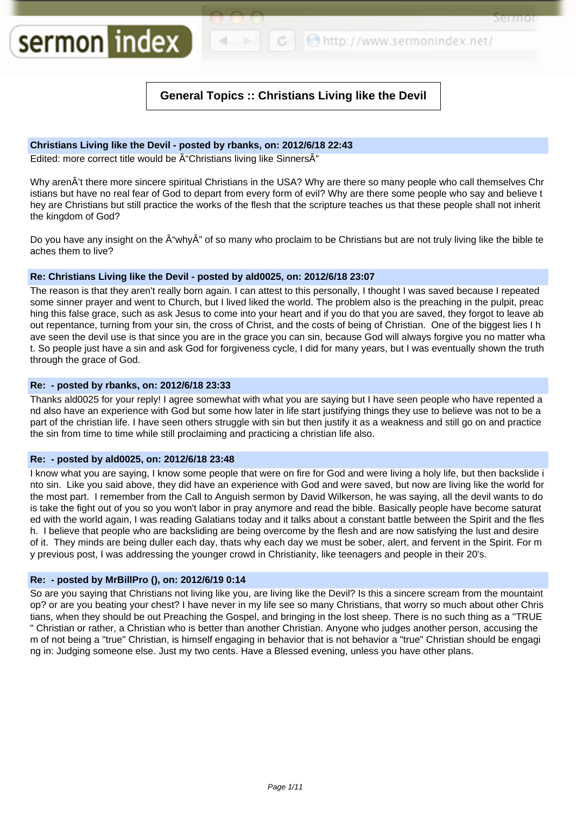http://www.sermonindex.net/

Sermor

# **General Topics :: Christians Living like the Devil**

# **Christians Living like the Devil - posted by rbanks, on: 2012/6/18 22:43**

Edited: more correct title would be  $\hat{A}$ "Christians living like Sinners $\hat{A}$ "

sermon index

Why arenÂ't there more sincere spiritual Christians in the USA? Why are there so many people who call themselves Chr istians but have no real fear of God to depart from every form of evil? Why are there some people who say and believe t hey are Christians but still practice the works of the flesh that the scripture teaches us that these people shall not inherit the kingdom of God?

Do you have any insight on the  $\hat{A}$ "why $\hat{A}$ " of so many who proclaim to be Christians but are not truly living like the bible te aches them to live?

# **Re: Christians Living like the Devil - posted by ald0025, on: 2012/6/18 23:07**

The reason is that they aren't really born again. I can attest to this personally, I thought I was saved because I repeated some sinner prayer and went to Church, but I lived liked the world. The problem also is the preaching in the pulpit, preac hing this false grace, such as ask Jesus to come into your heart and if you do that you are saved, they forgot to leave ab out repentance, turning from your sin, the cross of Christ, and the costs of being of Christian. One of the biggest lies I h ave seen the devil use is that since you are in the grace you can sin, because God will always forgive you no matter wha t. So people just have a sin and ask God for forgiveness cycle, I did for many years, but I was eventually shown the truth through the grace of God.

# **Re: - posted by rbanks, on: 2012/6/18 23:33**

Thanks ald0025 for your reply! I agree somewhat with what you are saying but I have seen people who have repented a nd also have an experience with God but some how later in life start justifying things they use to believe was not to be a part of the christian life. I have seen others struggle with sin but then justify it as a weakness and still go on and practice the sin from time to time while still proclaiming and practicing a christian life also.

# **Re: - posted by ald0025, on: 2012/6/18 23:48**

I know what you are saying, I know some people that were on fire for God and were living a holy life, but then backslide i nto sin. Like you said above, they did have an experience with God and were saved, but now are living like the world for the most part. I remember from the Call to Anguish sermon by David Wilkerson, he was saying, all the devil wants to do is take the fight out of you so you won't labor in pray anymore and read the bible. Basically people have become saturat ed with the world again, I was reading Galatians today and it talks about a constant battle between the Spirit and the fles h. I believe that people who are backsliding are being overcome by the flesh and are now satisfying the lust and desire of it. They minds are being duller each day, thats why each day we must be sober, alert, and fervent in the Spirit. For m y previous post, I was addressing the younger crowd in Christianity, like teenagers and people in their 20's.

# **Re: - posted by MrBillPro (), on: 2012/6/19 0:14**

So are you saying that Christians not living like you, are living like the Devil? Is this a sincere scream from the mountaint op? or are you beating your chest? I have never in my life see so many Christians, that worry so much about other Chris tians, when they should be out Preaching the Gospel, and bringing in the lost sheep. There is no such thing as a "TRUE " Christian or rather, a Christian who is better than another Christian. Anyone who judges another person, accusing the m of not being a "true" Christian, is himself engaging in behavior that is not behavior a "true" Christian should be engagi ng in: Judging someone else. Just my two cents. Have a Blessed evening, unless you have other plans.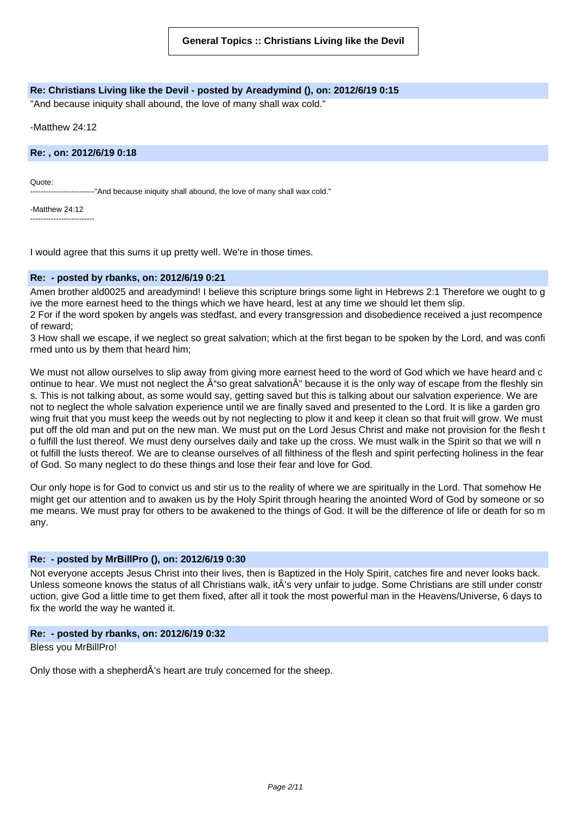# **Re: Christians Living like the Devil - posted by Areadymind (), on: 2012/6/19 0:15**

"And because iniquity shall abound, the love of many shall wax cold."

-Matthew 24:12

**Re: , on: 2012/6/19 0:18**

Quote:

--------"And because iniquity shall abound, the love of many shall wax cold."

-Matthew 24:12 -------------------------

I would agree that this sums it up pretty well. We're in those times.

#### **Re: - posted by rbanks, on: 2012/6/19 0:21**

Amen brother ald0025 and areadymind! I believe this scripture brings some light in Hebrews 2:1 Therefore we ought to g ive the more earnest heed to the things which we have heard, lest at any time we should let them slip.

2 For if the word spoken by angels was stedfast, and every transgression and disobedience received a just recompence of reward;

3 How shall we escape, if we neglect so great salvation; which at the first began to be spoken by the Lord, and was confi rmed unto us by them that heard him;

We must not allow ourselves to slip away from giving more earnest heed to the word of God which we have heard and c ontinue to hear. We must not neglect the  $\hat{A}$  "so great salvation $\hat{A}$ " because it is the only way of escape from the fleshly sin s. This is not talking about, as some would say, getting saved but this is talking about our salvation experience. We are not to neglect the whole salvation experience until we are finally saved and presented to the Lord. It is like a garden gro wing fruit that you must keep the weeds out by not neglecting to plow it and keep it clean so that fruit will grow. We must put off the old man and put on the new man. We must put on the Lord Jesus Christ and make not provision for the flesh t o fulfill the lust thereof. We must deny ourselves daily and take up the cross. We must walk in the Spirit so that we will n ot fulfill the lusts thereof. We are to cleanse ourselves of all filthiness of the flesh and spirit perfecting holiness in the fear of God. So many neglect to do these things and lose their fear and love for God.

Our only hope is for God to convict us and stir us to the reality of where we are spiritually in the Lord. That somehow He might get our attention and to awaken us by the Holy Spirit through hearing the anointed Word of God by someone or so me means. We must pray for others to be awakened to the things of God. It will be the difference of life or death for so m any.

## **Re: - posted by MrBillPro (), on: 2012/6/19 0:30**

Not everyone accepts Jesus Christ into their lives, then is Baptized in the Holy Spirit, catches fire and never looks back. Unless someone knows the status of all Christians walk, itÂ's very unfair to judge. Some Christians are still under constr uction, give God a little time to get them fixed, after all it took the most powerful man in the Heavens/Universe, 6 days to fix the world the way he wanted it.

## **Re: - posted by rbanks, on: 2012/6/19 0:32**

Bless you MrBillPro!

Only those with a shepherdÂ's heart are truly concerned for the sheep.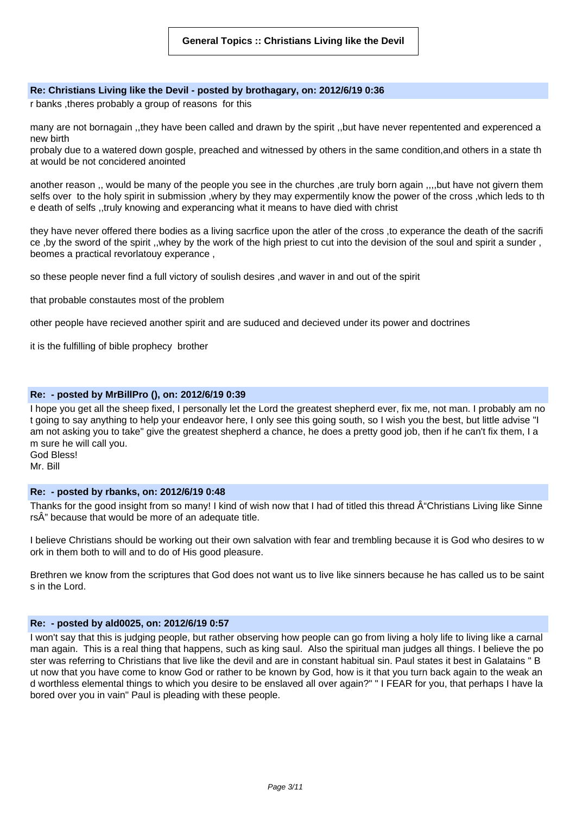#### **Re: Christians Living like the Devil - posted by brothagary, on: 2012/6/19 0:36**

r banks ,theres probably a group of reasons for this

many are not bornagain ,,they have been called and drawn by the spirit ,,but have never repentented and experenced a new birth

probaly due to a watered down gosple, preached and witnessed by others in the same condition,and others in a state th at would be not concidered anointed

another reason ,, would be many of the people you see in the churches ,are truly born again ,,,,but have not givern them selfs over to the holy spirit in submission ,whery by they may expermentily know the power of the cross ,which leds to th e death of selfs ,,truly knowing and experancing what it means to have died with christ

they have never offered there bodies as a living sacrfice upon the atler of the cross ,to experance the death of the sacrifi ce ,by the sword of the spirit ,,whey by the work of the high priest to cut into the devision of the soul and spirit a sunder , beomes a practical revorlatouy experance ,

so these people never find a full victory of soulish desires ,and waver in and out of the spirit

that probable constautes most of the problem

other people have recieved another spirit and are suduced and decieved under its power and doctrines

it is the fulfilling of bible prophecy brother

# **Re: - posted by MrBillPro (), on: 2012/6/19 0:39**

I hope you get all the sheep fixed, I personally let the Lord the greatest shepherd ever, fix me, not man. I probably am no t going to say anything to help your endeavor here, I only see this going south, so I wish you the best, but little advise "I am not asking you to take" give the greatest shepherd a chance, he does a pretty good job, then if he can't fix them, I a m sure he will call you. God Bless!

Mr. Bill

## **Re: - posted by rbanks, on: 2012/6/19 0:48**

Thanks for the good insight from so many! I kind of wish now that I had of titled this thread  $\hat{A}$ "Christians Living like Sinne rsÂ" because that would be more of an adequate title.

I believe Christians should be working out their own salvation with fear and trembling because it is God who desires to w ork in them both to will and to do of His good pleasure.

Brethren we know from the scriptures that God does not want us to live like sinners because he has called us to be saint s in the Lord.

#### **Re: - posted by ald0025, on: 2012/6/19 0:57**

I won't say that this is judging people, but rather observing how people can go from living a holy life to living like a carnal man again. This is a real thing that happens, such as king saul. Also the spiritual man judges all things. I believe the po ster was referring to Christians that live like the devil and are in constant habitual sin. Paul states it best in Galatains " B ut now that you have come to know God or rather to be known by God, how is it that you turn back again to the weak an d worthless elemental things to which you desire to be enslaved all over again?" " I FEAR for you, that perhaps I have la bored over you in vain" Paul is pleading with these people.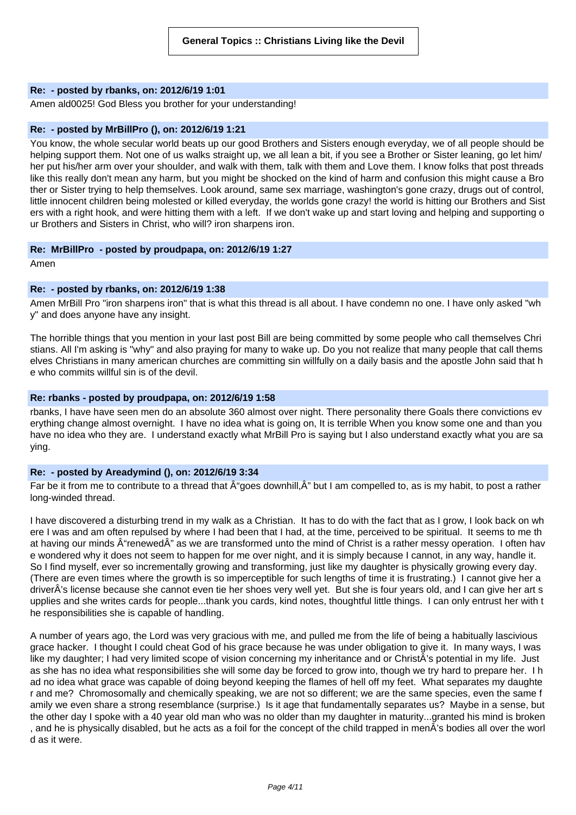## **Re: - posted by rbanks, on: 2012/6/19 1:01**

Amen ald0025! God Bless you brother for your understanding!

#### **Re: - posted by MrBillPro (), on: 2012/6/19 1:21**

You know, the whole secular world beats up our good Brothers and Sisters enough everyday, we of all people should be helping support them. Not one of us walks straight up, we all lean a bit, if you see a Brother or Sister leaning, go let him/ her put his/her arm over your shoulder, and walk with them, talk with them and Love them. I know folks that post threads like this really don't mean any harm, but you might be shocked on the kind of harm and confusion this might cause a Bro ther or Sister trying to help themselves. Look around, same sex marriage, washington's gone crazy, drugs out of control, little innocent children being molested or killed everyday, the worlds gone crazy! the world is hitting our Brothers and Sist ers with a right hook, and were hitting them with a left. If we don't wake up and start loving and helping and supporting o ur Brothers and Sisters in Christ, who will? iron sharpens iron.

#### **Re: MrBillPro - posted by proudpapa, on: 2012/6/19 1:27**

Amen

# **Re: - posted by rbanks, on: 2012/6/19 1:38**

Amen MrBill Pro "iron sharpens iron" that is what this thread is all about. I have condemn no one. I have only asked "wh y" and does anyone have any insight.

The horrible things that you mention in your last post Bill are being committed by some people who call themselves Chri stians. All I'm asking is "why" and also praying for many to wake up. Do you not realize that many people that call thems elves Christians in many american churches are committing sin willfully on a daily basis and the apostle John said that h e who commits willful sin is of the devil.

## **Re: rbanks - posted by proudpapa, on: 2012/6/19 1:58**

rbanks, I have have seen men do an absolute 360 almost over night. There personality there Goals there convictions ev erything change almost overnight. I have no idea what is going on, It is terrible When you know some one and than you have no idea who they are. I understand exactly what MrBill Pro is saying but I also understand exactly what you are sa ying.

## **Re: - posted by Areadymind (), on: 2012/6/19 3:34**

Far be it from me to contribute to a thread that  $\hat{A}^*$  ages downhill.  $\hat{A}^*$  but I am compelled to, as is my habit, to post a rather long-winded thread.

I have discovered a disturbing trend in my walk as a Christian. It has to do with the fact that as I grow, I look back on wh ere I was and am often repulsed by where I had been that I had, at the time, perceived to be spiritual. It seems to me th at having our minds  $\hat{A}$ "renewed $\hat{A}$ " as we are transformed unto the mind of Christ is a rather messy operation. I often hav e wondered why it does not seem to happen for me over night, and it is simply because I cannot, in any way, handle it. So I find myself, ever so incrementally growing and transforming, just like my daughter is physically growing every day. (There are even times where the growth is so imperceptible for such lengths of time it is frustrating.) I cannot give her a driverÂ's license because she cannot even tie her shoes very well yet. But she is four years old, and I can give her art s upplies and she writes cards for people...thank you cards, kind notes, thoughtful little things. I can only entrust her with t he responsibilities she is capable of handling.

A number of years ago, the Lord was very gracious with me, and pulled me from the life of being a habitually lascivious grace hacker. I thought I could cheat God of his grace because he was under obligation to give it. In many ways, I was like my daughter; I had very limited scope of vision concerning my inheritance and or ChristÂ's potential in my life. Just as she has no idea what responsibilities she will some day be forced to grow into, though we try hard to prepare her. I h ad no idea what grace was capable of doing beyond keeping the flames of hell off my feet. What separates my daughte r and me? Chromosomally and chemically speaking, we are not so different; we are the same species, even the same f amily we even share a strong resemblance (surprise.) Is it age that fundamentally separates us? Maybe in a sense, but the other day I spoke with a 40 year old man who was no older than my daughter in maturity...granted his mind is broken , and he is physically disabled, but he acts as a foil for the concept of the child trapped in menÂ's bodies all over the worl d as it were.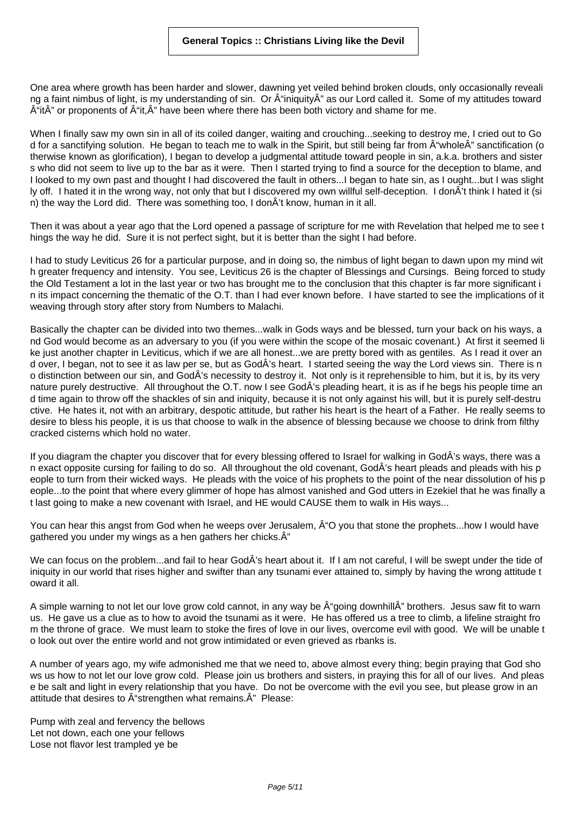One area where growth has been harder and slower, dawning yet veiled behind broken clouds, only occasionally reveali ng a faint nimbus of light, is my understanding of sin. Or "iniquityÂ" as our Lord called it. Some of my attitudes toward  $\hat{A}^{\text{ii}}$ t $\hat{A}^{\text{v}}$  or proponents of  $\hat{A}^{\text{ii}}$ t, $\hat{A}^{\text{v}}$  have been where there has been both victory and shame for me.

When I finally saw my own sin in all of its coiled danger, waiting and crouching...seeking to destroy me, I cried out to Go d for a sanctifying solution. He began to teach me to walk in the Spirit, but still being far from  $\hat{A}$ "whole $\hat{A}$ " sanctification (o therwise known as glorification), I began to develop a judgmental attitude toward people in sin, a.k.a. brothers and sister s who did not seem to live up to the bar as it were. Then I started trying to find a source for the deception to blame, and I looked to my own past and thought I had discovered the fault in others...I began to hate sin, as I ought...but I was slight ly off. I hated it in the wrong way, not only that but I discovered my own willful self-deception. I donÂ't think I hated it (si n) the way the Lord did. There was something too, I donÂ't know, human in it all.

Then it was about a year ago that the Lord opened a passage of scripture for me with Revelation that helped me to see t hings the way he did. Sure it is not perfect sight, but it is better than the sight I had before.

I had to study Leviticus 26 for a particular purpose, and in doing so, the nimbus of light began to dawn upon my mind wit h greater frequency and intensity. You see, Leviticus 26 is the chapter of Blessings and Cursings. Being forced to study the Old Testament a lot in the last year or two has brought me to the conclusion that this chapter is far more significant i n its impact concerning the thematic of the O.T. than I had ever known before. I have started to see the implications of it weaving through story after story from Numbers to Malachi.

Basically the chapter can be divided into two themes...walk in Gods ways and be blessed, turn your back on his ways, a nd God would become as an adversary to you (if you were within the scope of the mosaic covenant.) At first it seemed li ke just another chapter in Leviticus, which if we are all honest...we are pretty bored with as gentiles. As I read it over an d over, I began, not to see it as law per se, but as GodÂ's heart. I started seeing the way the Lord views sin. There is n o distinction between our sin, and GodÂ's necessity to destroy it. Not only is it reprehensible to him, but it is, by its very nature purely destructive. All throughout the O.T. now I see GodÂ's pleading heart, it is as if he begs his people time an d time again to throw off the shackles of sin and iniquity, because it is not only against his will, but it is purely self-destru ctive. He hates it, not with an arbitrary, despotic attitude, but rather his heart is the heart of a Father. He really seems to desire to bless his people, it is us that choose to walk in the absence of blessing because we choose to drink from filthy cracked cisterns which hold no water.

If you diagram the chapter you discover that for every blessing offered to Israel for walking in GodÂ's ways, there was a n exact opposite cursing for failing to do so. All throughout the old covenant, GodÂ's heart pleads and pleads with his p eople to turn from their wicked ways. He pleads with the voice of his prophets to the point of the near dissolution of his p eople...to the point that where every glimmer of hope has almost vanished and God utters in Ezekiel that he was finally a t last going to make a new covenant with Israel, and HE would CAUSE them to walk in His ways...

You can hear this angst from God when he weeps over Jerusalem,  $\hat{A}$  "O you that stone the prophets...how I would have gathered you under my wings as a hen gathers her chicks. $\hat{A}$ "

We can focus on the problem...and fail to hear GodÂ's heart about it. If I am not careful, I will be swept under the tide of iniquity in our world that rises higher and swifter than any tsunami ever attained to, simply by having the wrong attitude t oward it all.

A simple warning to not let our love grow cold cannot, in any way be  $\hat{A}$ "going downhill $\hat{A}$ " brothers. Jesus saw fit to warn us. He gave us a clue as to how to avoid the tsunami as it were. He has offered us a tree to climb, a lifeline straight fro m the throne of grace. We must learn to stoke the fires of love in our lives, overcome evil with good. We will be unable t o look out over the entire world and not grow intimidated or even grieved as rbanks is.

A number of years ago, my wife admonished me that we need to, above almost every thing; begin praying that God sho ws us how to not let our love grow cold. Please join us brothers and sisters, in praying this for all of our lives. And pleas e be salt and light in every relationship that you have. Do not be overcome with the evil you see, but please grow in an attitude that desires to  $\hat{A}$ "strengthen what remains. $\hat{A}$ " Please:

Pump with zeal and fervency the bellows Let not down, each one your fellows Lose not flavor lest trampled ye be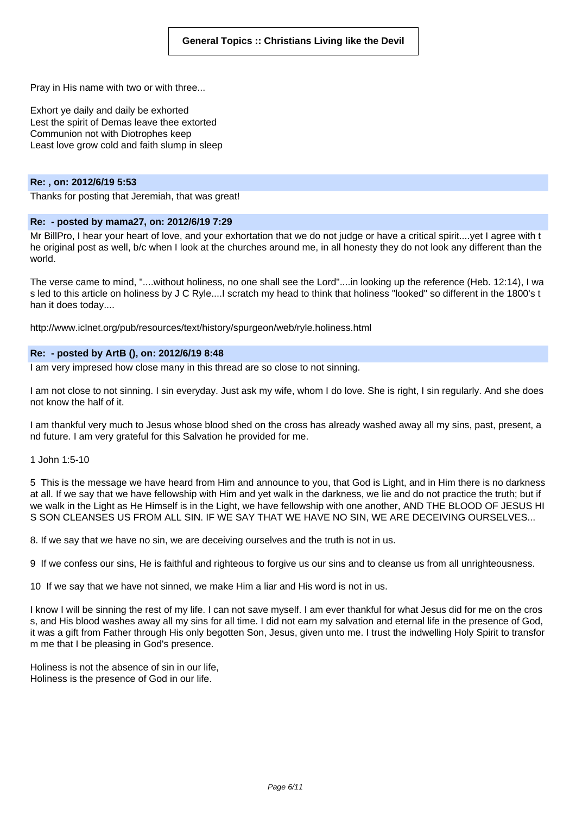Pray in His name with two or with three...

Exhort ye daily and daily be exhorted Lest the spirit of Demas leave thee extorted Communion not with Diotrophes keep Least love grow cold and faith slump in sleep

#### **Re: , on: 2012/6/19 5:53**

Thanks for posting that Jeremiah, that was great!

# **Re: - posted by mama27, on: 2012/6/19 7:29**

Mr BillPro, I hear your heart of love, and your exhortation that we do not judge or have a critical spirit....yet I agree with t he original post as well, b/c when I look at the churches around me, in all honesty they do not look any different than the world.

The verse came to mind, "....without holiness, no one shall see the Lord"....in looking up the reference (Heb. 12:14), I wa s led to this article on holiness by J C Ryle....I scratch my head to think that holiness "looked" so different in the 1800's t han it does today....

http://www.iclnet.org/pub/resources/text/history/spurgeon/web/ryle.holiness.html

#### **Re: - posted by ArtB (), on: 2012/6/19 8:48**

I am very impresed how close many in this thread are so close to not sinning.

I am not close to not sinning. I sin everyday. Just ask my wife, whom I do love. She is right, I sin regularly. And she does not know the half of it.

I am thankful very much to Jesus whose blood shed on the cross has already washed away all my sins, past, present, a nd future. I am very grateful for this Salvation he provided for me.

1 John 1:5-10

5 This is the message we have heard from Him and announce to you, that God is Light, and in Him there is no darkness at all. If we say that we have fellowship with Him and yet walk in the darkness, we lie and do not practice the truth; but if we walk in the Light as He Himself is in the Light, we have fellowship with one another, AND THE BLOOD OF JESUS HI S SON CLEANSES US FROM ALL SIN. IF WE SAY THAT WE HAVE NO SIN, WE ARE DECEIVING OURSELVES...

8. If we say that we have no sin, we are deceiving ourselves and the truth is not in us.

9 If we confess our sins, He is faithful and righteous to forgive us our sins and to cleanse us from all unrighteousness.

10 If we say that we have not sinned, we make Him a liar and His word is not in us.

I know I will be sinning the rest of my life. I can not save myself. I am ever thankful for what Jesus did for me on the cros s, and His blood washes away all my sins for all time. I did not earn my salvation and eternal life in the presence of God, it was a gift from Father through His only begotten Son, Jesus, given unto me. I trust the indwelling Holy Spirit to transfor m me that I be pleasing in God's presence.

Holiness is not the absence of sin in our life, Holiness is the presence of God in our life.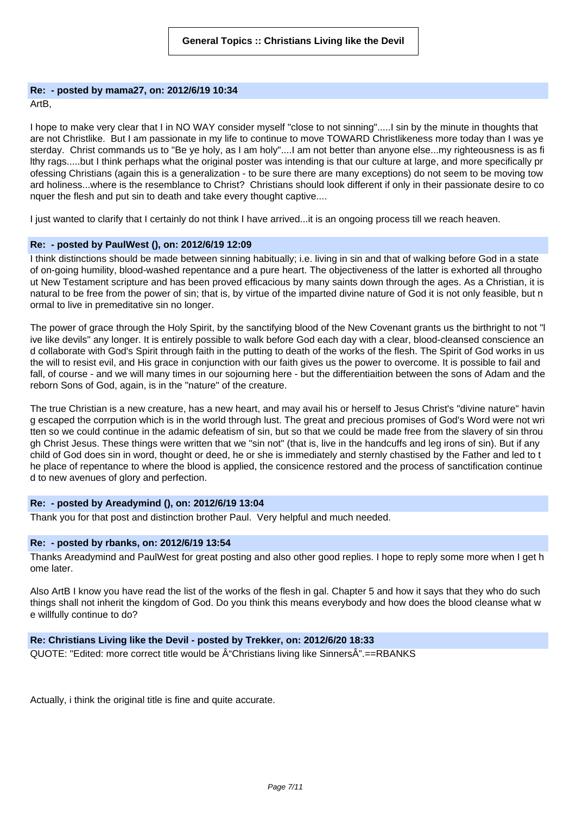# **Re: - posted by mama27, on: 2012/6/19 10:34**

ArtB,

I hope to make very clear that I in NO WAY consider myself "close to not sinning".....I sin by the minute in thoughts that are not Christlike. But I am passionate in my life to continue to move TOWARD Christlikeness more today than I was ye sterday. Christ commands us to "Be ye holy, as I am holy"....I am not better than anyone else...my righteousness is as fi lthy rags.....but I think perhaps what the original poster was intending is that our culture at large, and more specifically pr ofessing Christians (again this is a generalization - to be sure there are many exceptions) do not seem to be moving tow ard holiness...where is the resemblance to Christ? Christians should look different if only in their passionate desire to co nquer the flesh and put sin to death and take every thought captive....

I just wanted to clarify that I certainly do not think I have arrived...it is an ongoing process till we reach heaven.

## **Re: - posted by PaulWest (), on: 2012/6/19 12:09**

I think distinctions should be made between sinning habitually; i.e. living in sin and that of walking before God in a state of on-going humility, blood-washed repentance and a pure heart. The objectiveness of the latter is exhorted all througho ut New Testament scripture and has been proved efficacious by many saints down through the ages. As a Christian, it is natural to be free from the power of sin; that is, by virtue of the imparted divine nature of God it is not only feasible, but n ormal to live in premeditative sin no longer.

The power of grace through the Holy Spirit, by the sanctifying blood of the New Covenant grants us the birthright to not "l ive like devils" any longer. It is entirely possible to walk before God each day with a clear, blood-cleansed conscience an d collaborate with God's Spirit through faith in the putting to death of the works of the flesh. The Spirit of God works in us the will to resist evil, and His grace in conjunction with our faith gives us the power to overcome. It is possible to fail and fall, of course - and we will many times in our sojourning here - but the differentiaition between the sons of Adam and the reborn Sons of God, again, is in the "nature" of the creature.

The true Christian is a new creature, has a new heart, and may avail his or herself to Jesus Christ's "divine nature" havin g escaped the corrpution which is in the world through lust. The great and precious promises of God's Word were not wri tten so we could continue in the adamic defeatism of sin, but so that we could be made free from the slavery of sin throu gh Christ Jesus. These things were written that we "sin not" (that is, live in the handcuffs and leg irons of sin). But if any child of God does sin in word, thought or deed, he or she is immediately and sternly chastised by the Father and led to t he place of repentance to where the blood is applied, the consicence restored and the process of sanctification continue d to new avenues of glory and perfection.

# **Re: - posted by Areadymind (), on: 2012/6/19 13:04**

Thank you for that post and distinction brother Paul. Very helpful and much needed.

## **Re: - posted by rbanks, on: 2012/6/19 13:54**

Thanks Areadymind and PaulWest for great posting and also other good replies. I hope to reply some more when I get h ome later.

Also ArtB I know you have read the list of the works of the flesh in gal. Chapter 5 and how it says that they who do such things shall not inherit the kingdom of God. Do you think this means everybody and how does the blood cleanse what w e willfully continue to do?

# **Re: Christians Living like the Devil - posted by Trekker, on: 2012/6/20 18:33**

 $QUOTE: "Edited: more correct title would be  $\hat{A}$ "Christians living like Sinners $\hat{A}$ ".==RBANKS$ 

Actually, i think the original title is fine and quite accurate.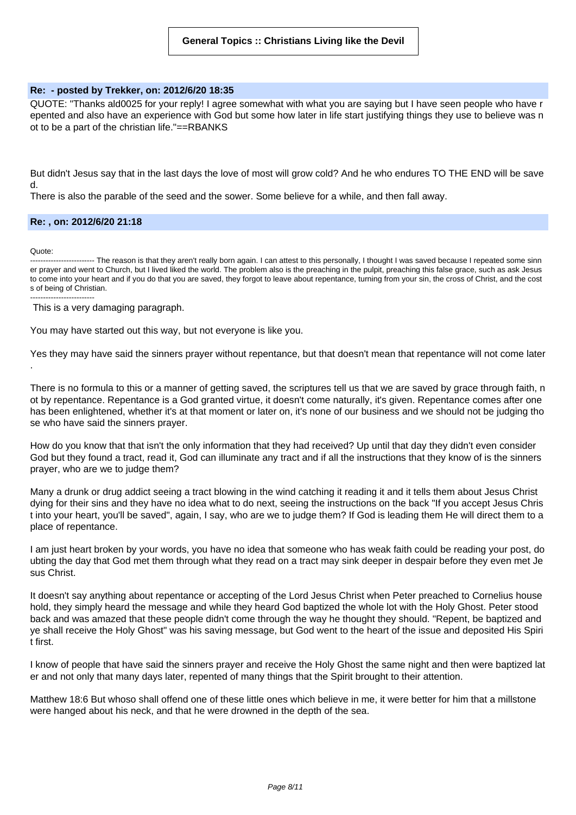#### **Re: - posted by Trekker, on: 2012/6/20 18:35**

QUOTE: "Thanks ald0025 for your reply! I agree somewhat with what you are saying but I have seen people who have r epented and also have an experience with God but some how later in life start justifying things they use to believe was n ot to be a part of the christian life."==RBANKS

But didn't Jesus say that in the last days the love of most will grow cold? And he who endures TO THE END will be save d.

There is also the parable of the seed and the sower. Some believe for a while, and then fall away.

#### **Re: , on: 2012/6/20 21:18**

Quote:

.

------ The reason is that they aren't really born again. I can attest to this personally, I thought I was saved because I repeated some sinn er prayer and went to Church, but I lived liked the world. The problem also is the preaching in the pulpit, preaching this false grace, such as ask Jesus to come into your heart and if you do that you are saved, they forgot to leave about repentance, turning from your sin, the cross of Christ, and the cost s of being of Christian. -------------------------

This is a very damaging paragraph.

You may have started out this way, but not everyone is like you.

Yes they may have said the sinners prayer without repentance, but that doesn't mean that repentance will not come later

There is no formula to this or a manner of getting saved, the scriptures tell us that we are saved by grace through faith, n ot by repentance. Repentance is a God granted virtue, it doesn't come naturally, it's given. Repentance comes after one has been enlightened, whether it's at that moment or later on, it's none of our business and we should not be judging tho se who have said the sinners prayer.

How do you know that that isn't the only information that they had received? Up until that day they didn't even consider God but they found a tract, read it, God can illuminate any tract and if all the instructions that they know of is the sinners prayer, who are we to judge them?

Many a drunk or drug addict seeing a tract blowing in the wind catching it reading it and it tells them about Jesus Christ dying for their sins and they have no idea what to do next, seeing the instructions on the back "If you accept Jesus Chris t into your heart, you'll be saved", again, I say, who are we to judge them? If God is leading them He will direct them to a place of repentance.

I am just heart broken by your words, you have no idea that someone who has weak faith could be reading your post, do ubting the day that God met them through what they read on a tract may sink deeper in despair before they even met Je sus Christ.

It doesn't say anything about repentance or accepting of the Lord Jesus Christ when Peter preached to Cornelius house hold, they simply heard the message and while they heard God baptized the whole lot with the Holy Ghost. Peter stood back and was amazed that these people didn't come through the way he thought they should. "Repent, be baptized and ye shall receive the Holy Ghost" was his saving message, but God went to the heart of the issue and deposited His Spiri t first.

I know of people that have said the sinners prayer and receive the Holy Ghost the same night and then were baptized lat er and not only that many days later, repented of many things that the Spirit brought to their attention.

Matthew 18:6 But whoso shall offend one of these little ones which believe in me, it were better for him that a millstone were hanged about his neck, and that he were drowned in the depth of the sea.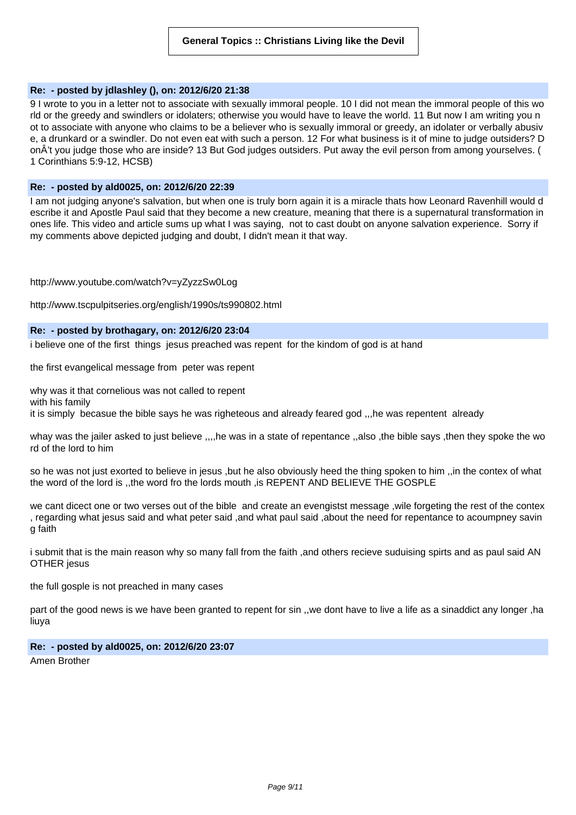## **Re: - posted by jdlashley (), on: 2012/6/20 21:38**

9 I wrote to you in a letter not to associate with sexually immoral people. 10 I did not mean the immoral people of this wo rld or the greedy and swindlers or idolaters; otherwise you would have to leave the world. 11 But now I am writing you n ot to associate with anyone who claims to be a believer who is sexually immoral or greedy, an idolater or verbally abusiv e, a drunkard or a swindler. Do not even eat with such a person. 12 For what business is it of mine to judge outsiders? D onÂ't you judge those who are inside? 13 But God judges outsiders. Put away the evil person from among yourselves. ( 1 Corinthians 5:9-12, HCSB)

## **Re: - posted by ald0025, on: 2012/6/20 22:39**

I am not judging anyone's salvation, but when one is truly born again it is a miracle thats how Leonard Ravenhill would d escribe it and Apostle Paul said that they become a new creature, meaning that there is a supernatural transformation in ones life. This video and article sums up what I was saying, not to cast doubt on anyone salvation experience. Sorry if my comments above depicted judging and doubt, I didn't mean it that way.

## http://www.youtube.com/watch?v=yZyzzSw0Log

http://www.tscpulpitseries.org/english/1990s/ts990802.html

# **Re: - posted by brothagary, on: 2012/6/20 23:04**

i believe one of the first things jesus preached was repent for the kindom of god is at hand

the first evangelical message from peter was repent

why was it that cornelious was not called to repent with his family it is simply becasue the bible says he was righeteous and already feared god ,,,he was repentent already

whay was the jailer asked to just believe ,,,,he was in a state of repentance ,,also ,the bible says ,then they spoke the wo rd of the lord to him

so he was not just exorted to believe in jesus ,but he also obviously heed the thing spoken to him ,,in the contex of what the word of the lord is ,,the word fro the lords mouth ,is REPENT AND BELIEVE THE GOSPLE

we cant dicect one or two verses out of the bible and create an evengistst message ,wile forgeting the rest of the contex , regarding what jesus said and what peter said ,and what paul said ,about the need for repentance to acoumpney savin g faith

i submit that is the main reason why so many fall from the faith , and others recieve suduising spirts and as paul said AN OTHER jesus

the full gosple is not preached in many cases

part of the good news is we have been granted to repent for sin ,,we dont have to live a life as a sinaddict any longer ,ha liuya

# **Re: - posted by ald0025, on: 2012/6/20 23:07**

Amen Brother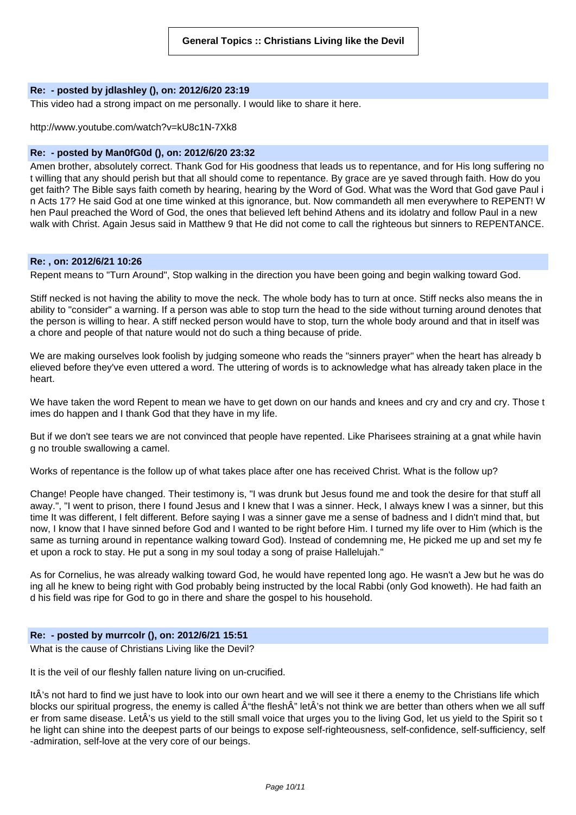## **Re: - posted by jdlashley (), on: 2012/6/20 23:19**

This video had a strong impact on me personally. I would like to share it here.

#### http://www.youtube.com/watch?v=kU8c1N-7Xk8

# **Re: - posted by Man0fG0d (), on: 2012/6/20 23:32**

Amen brother, absolutely correct. Thank God for His goodness that leads us to repentance, and for His long suffering no t willing that any should perish but that all should come to repentance. By grace are ye saved through faith. How do you get faith? The Bible says faith cometh by hearing, hearing by the Word of God. What was the Word that God gave Paul i n Acts 17? He said God at one time winked at this ignorance, but. Now commandeth all men everywhere to REPENT! W hen Paul preached the Word of God, the ones that believed left behind Athens and its idolatry and follow Paul in a new walk with Christ. Again Jesus said in Matthew 9 that He did not come to call the righteous but sinners to REPENTANCE.

## **Re: , on: 2012/6/21 10:26**

Repent means to "Turn Around", Stop walking in the direction you have been going and begin walking toward God.

Stiff necked is not having the ability to move the neck. The whole body has to turn at once. Stiff necks also means the in ability to "consider" a warning. If a person was able to stop turn the head to the side without turning around denotes that the person is willing to hear. A stiff necked person would have to stop, turn the whole body around and that in itself was a chore and people of that nature would not do such a thing because of pride.

We are making ourselves look foolish by judging someone who reads the "sinners prayer" when the heart has already b elieved before they've even uttered a word. The uttering of words is to acknowledge what has already taken place in the heart.

We have taken the word Repent to mean we have to get down on our hands and knees and cry and cry and cry. Those t imes do happen and I thank God that they have in my life.

But if we don't see tears we are not convinced that people have repented. Like Pharisees straining at a gnat while havin g no trouble swallowing a camel.

Works of repentance is the follow up of what takes place after one has received Christ. What is the follow up?

Change! People have changed. Their testimony is, "I was drunk but Jesus found me and took the desire for that stuff all away.", "I went to prison, there I found Jesus and I knew that I was a sinner. Heck, I always knew I was a sinner, but this time It was different, I felt different. Before saying I was a sinner gave me a sense of badness and I didn't mind that, but now, I know that I have sinned before God and I wanted to be right before Him. I turned my life over to Him (which is the same as turning around in repentance walking toward God). Instead of condemning me, He picked me up and set my fe et upon a rock to stay. He put a song in my soul today a song of praise Hallelujah."

As for Cornelius, he was already walking toward God, he would have repented long ago. He wasn't a Jew but he was do ing all he knew to being right with God probably being instructed by the local Rabbi (only God knoweth). He had faith an d his field was ripe for God to go in there and share the gospel to his household.

## **Re: - posted by murrcolr (), on: 2012/6/21 15:51**

What is the cause of Christians Living like the Devil?

It is the veil of our fleshly fallen nature living on un-crucified.

ItÂ's not hard to find we just have to look into our own heart and we will see it there a enemy to the Christians life which blocks our spiritual progress, the enemy is called  $\hat{A}$ "the flesh $\hat{A}$ " let $\hat{A}$ 's not think we are better than others when we all suff er from same disease. LetÂ's us yield to the still small voice that urges you to the living God, let us yield to the Spirit so t he light can shine into the deepest parts of our beings to expose self-righteousness, self-confidence, self-sufficiency, self -admiration, self-love at the very core of our beings.